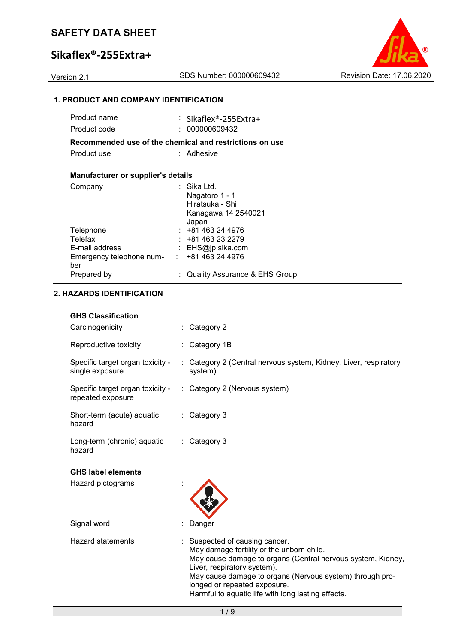# **Sikaflex®-255Extra+**



### **1. PRODUCT AND COMPANY IDENTIFICATION**

| Product name                                      | : Sikaflex®-255Extra+                                                            |
|---------------------------------------------------|----------------------------------------------------------------------------------|
| Product code                                      | : 000000609432                                                                   |
|                                                   | Recommended use of the chemical and restrictions on use                          |
| Product use                                       | : Adhesive                                                                       |
|                                                   |                                                                                  |
| Manufacturer or supplier's details                |                                                                                  |
| Company                                           | ∶ Sika Ltd.<br>Nagatoro 1 - 1<br>Hiratsuka - Shi<br>Kanagawa 14 2540021<br>Japan |
| Telephone                                         | $: +81463244976$                                                                 |
| Telefax                                           | $: +81463232279$                                                                 |
| E-mail address                                    | : $EHS@ip.sika.com$                                                              |
| Emergency telephone num- : +81 463 24 4976<br>ber |                                                                                  |
| Prepared by                                       | <b>Quality Assurance &amp; EHS Group</b>                                         |

### **2. HAZARDS IDENTIFICATION**

### **GHS Classification**

| Carcinogenicity                                       |                | : Category 2                                                                |
|-------------------------------------------------------|----------------|-----------------------------------------------------------------------------|
| Reproductive toxicity                                 |                | Category 1B                                                                 |
| Specific target organ toxicity -<br>single exposure   |                | : Category 2 (Central nervous system, Kidney, Liver, respiratory<br>system) |
| Specific target organ toxicity -<br>repeated exposure |                | : Category 2 (Nervous system)                                               |
| Short-term (acute) aquatic<br>hazard                  |                | : Category 3                                                                |
| Long-term (chronic) aquatic<br>hazard                 | $\mathbb{R}^n$ | Category 3                                                                  |
| <b>GHS label elements</b>                             |                |                                                                             |
|                                                       |                |                                                                             |
| Hazard pictograms                                     |                |                                                                             |
| Signal word                                           |                | Danger                                                                      |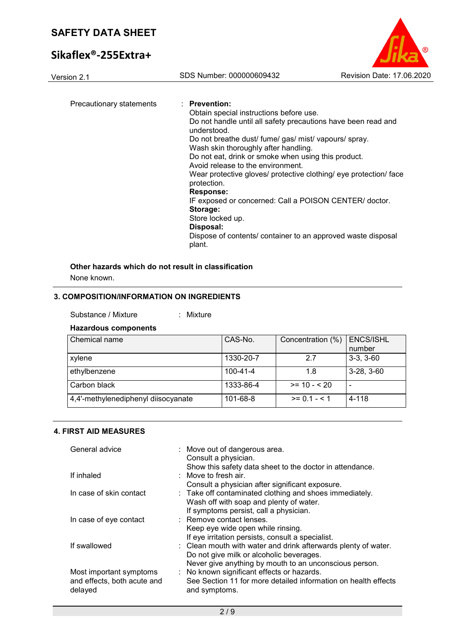# **Sikaflex®-255Extra+**



| Version 2.1              | SDS Number: 000000609432                                                                                                                                                                                                                                                                                                                                                                                                                                                                                                                                                                                                  | Revision Date: 17.06.2020 |
|--------------------------|---------------------------------------------------------------------------------------------------------------------------------------------------------------------------------------------------------------------------------------------------------------------------------------------------------------------------------------------------------------------------------------------------------------------------------------------------------------------------------------------------------------------------------------------------------------------------------------------------------------------------|---------------------------|
| Precautionary statements | $:$ Prevention:<br>Obtain special instructions before use.<br>Do not handle until all safety precautions have been read and<br>understood.<br>Do not breathe dust/ fume/ gas/ mist/ vapours/ spray.<br>Wash skin thoroughly after handling.<br>Do not eat, drink or smoke when using this product.<br>Avoid release to the environment.<br>Wear protective gloves/ protective clothing/ eye protection/ face<br>protection.<br>Response:<br>IF exposed or concerned: Call a POISON CENTER/ doctor.<br>Storage:<br>Store locked up.<br>Disposal:<br>Dispose of contents/ container to an approved waste disposal<br>plant. |                           |
|                          |                                                                                                                                                                                                                                                                                                                                                                                                                                                                                                                                                                                                                           |                           |

### **Other hazards which do not result in classification**

None known.

### **3. COMPOSITION/INFORMATION ON INGREDIENTS**

| Substance / Mixture |  | Mixture |
|---------------------|--|---------|
|---------------------|--|---------|

### **Hazardous components**

| Chemical name                       | CAS-No.   | Concentration (%) | <b>ENCS/ISHL</b><br>number |
|-------------------------------------|-----------|-------------------|----------------------------|
| xylene                              | 1330-20-7 | 2.7               | $3-3, 3-60$                |
| ethylbenzene                        | 100-41-4  | 1.8               | $3-28, 3-60$               |
| Carbon black                        | 1333-86-4 | $>= 10 - 20$      | $\overline{\phantom{0}}$   |
| 4,4'-methylenediphenyl diisocyanate | 101-68-8  | $>= 0.1 - 5.1$    | 4-118                      |

### **4. FIRST AID MEASURES**

| General advice                                                    | : Move out of dangerous area.<br>Consult a physician.<br>Show this safety data sheet to the doctor in attendance.                                                    |
|-------------------------------------------------------------------|----------------------------------------------------------------------------------------------------------------------------------------------------------------------|
| If inhaled                                                        | $\therefore$ Move to fresh air.<br>Consult a physician after significant exposure.                                                                                   |
| In case of skin contact                                           | : Take off contaminated clothing and shoes immediately.<br>Wash off with soap and plenty of water.<br>If symptoms persist, call a physician.                         |
| In case of eye contact                                            | : Remove contact lenses.<br>Keep eye wide open while rinsing.<br>If eye irritation persists, consult a specialist.                                                   |
| If swallowed                                                      | : Clean mouth with water and drink afterwards plenty of water.<br>Do not give milk or alcoholic beverages.<br>Never give anything by mouth to an unconscious person. |
| Most important symptoms<br>and effects, both acute and<br>delayed | : No known significant effects or hazards.<br>See Section 11 for more detailed information on health effects<br>and symptoms.                                        |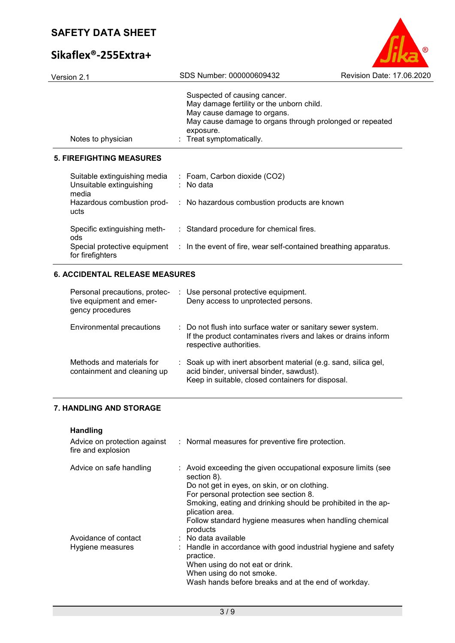# **Sikafle**

| Sikaflex®-255 Extra+                         |                                                                                                                                                                                                             |                           |
|----------------------------------------------|-------------------------------------------------------------------------------------------------------------------------------------------------------------------------------------------------------------|---------------------------|
| Version 2.1                                  | SDS Number: 000000609432                                                                                                                                                                                    | Revision Date: 17.06.2020 |
| Notes to physician                           | Suspected of causing cancer.<br>May damage fertility or the unborn child.<br>May cause damage to organs.<br>May cause damage to organs through prolonged or repeated<br>exposure.<br>Treat symptomatically. |                           |
| <b>5. FIREFIGHTING MEASURES</b>              |                                                                                                                                                                                                             |                           |
| Unsuitable extinguishing<br>media            | Suitable extinguishing media : Foam, Carbon dioxide (CO2)<br>: No data                                                                                                                                      |                           |
| ucts                                         | Hazardous combustion prod- : No hazardous combustion products are known                                                                                                                                     |                           |
| ods                                          | Specific extinguishing meth- : Standard procedure for chemical fires.                                                                                                                                       |                           |
| for firefighters                             | Special protective equipment : In the event of fire, wear self-contained breathing apparatus.                                                                                                               |                           |
| <b>6. ACCIDENTAL RELEASE MEASURES</b>        |                                                                                                                                                                                                             |                           |
| tive equipment and emer-<br>gency procedures | Personal precautions, protec- : Use personal protective equipment.<br>Deny access to unprotected persons.                                                                                                   |                           |

| Environmental precautions                                | : Do not flush into surface water or sanitary sewer system.<br>If the product contaminates rivers and lakes or drains inform<br>respective authorities.                     |
|----------------------------------------------------------|-----------------------------------------------------------------------------------------------------------------------------------------------------------------------------|
| Methods and materials for<br>containment and cleaning up | $\therefore$ Soak up with inert absorbent material (e.g. sand, silica gel,<br>acid binder, universal binder, sawdust).<br>Keep in suitable, closed containers for disposal. |

# **7. HANDLING AND STORAGE**

### **Handling**

| Advice on protection against<br>fire and explosion | : Normal measures for preventive fire protection.                                                                                                                                                                                                                                                                                |
|----------------------------------------------------|----------------------------------------------------------------------------------------------------------------------------------------------------------------------------------------------------------------------------------------------------------------------------------------------------------------------------------|
| Advice on safe handling                            | : Avoid exceeding the given occupational exposure limits (see<br>section 8).<br>Do not get in eyes, on skin, or on clothing.<br>For personal protection see section 8.<br>Smoking, eating and drinking should be prohibited in the ap-<br>plication area.<br>Follow standard hygiene measures when handling chemical<br>products |
| Avoidance of contact<br>Hygiene measures           | : No data available<br>: Handle in accordance with good industrial hygiene and safety<br>practice.<br>When using do not eat or drink.<br>When using do not smoke.<br>Wash hands before breaks and at the end of workday.                                                                                                         |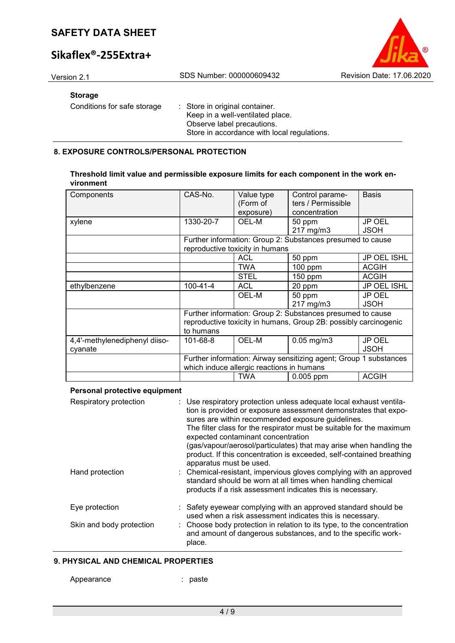# **Sikaflex®-255Extra+**



### **Storage**

Conditions for safe storage : Store in original container.

Keep in a well-ventilated place. Observe label precautions. Store in accordance with local regulations.

### **8. EXPOSURE CONTROLS/PERSONAL PROTECTION**

#### **Threshold limit value and permissible exposure limits for each component in the work environment**

| Components                    | CAS-No.        | Value type<br>(Form of<br>exposure)       | Control parame-<br>ters / Permissible<br>concentration            | <b>Basis</b>       |
|-------------------------------|----------------|-------------------------------------------|-------------------------------------------------------------------|--------------------|
|                               | 1330-20-7      | OEL-M                                     | 50 ppm                                                            | <b>JP OEL</b>      |
| xylene                        |                |                                           |                                                                   |                    |
|                               |                |                                           | 217 mg/m3                                                         | <b>JSOH</b>        |
|                               |                |                                           | Further information: Group 2: Substances presumed to cause        |                    |
|                               |                | reproductive toxicity in humans           |                                                                   |                    |
|                               |                | <b>ACL</b>                                | 50 ppm                                                            | <b>JP OEL ISHL</b> |
|                               |                | <b>TWA</b>                                | 100 ppm                                                           | <b>ACGIH</b>       |
|                               |                | <b>STEL</b>                               | $150$ ppm                                                         | <b>ACGIH</b>       |
| ethylbenzene                  | $100 - 41 - 4$ | <b>ACL</b>                                | 20 ppm                                                            | JP OEL ISHL        |
|                               |                | OEL-M                                     | 50 ppm                                                            | <b>JP OEL</b>      |
|                               |                |                                           | 217 mg/m3                                                         | <b>JSOH</b>        |
|                               |                |                                           | Further information: Group 2: Substances presumed to cause        |                    |
|                               |                |                                           | reproductive toxicity in humans, Group 2B: possibly carcinogenic  |                    |
|                               | to humans      |                                           |                                                                   |                    |
| 4,4'-methylenediphenyl diiso- | 101-68-8       | OEL-M                                     | $0.05$ mg/m $3$                                                   | <b>JP OEL</b>      |
| cyanate                       |                |                                           |                                                                   | <b>JSOH</b>        |
|                               |                |                                           | Further information: Airway sensitizing agent; Group 1 substances |                    |
|                               |                | which induce allergic reactions in humans |                                                                   |                    |
|                               |                | <b>TWA</b>                                | 0.005 ppm                                                         | <b>ACGIH</b>       |

#### **Personal protective equipment**

| Respiratory protection   | : Use respiratory protection unless adequate local exhaust ventila-<br>tion is provided or exposure assessment demonstrates that expo-<br>sures are within recommended exposure guidelines.<br>The filter class for the respirator must be suitable for the maximum<br>expected contaminant concentration<br>(gas/vapour/aerosol/particulates) that may arise when handling the<br>product. If this concentration is exceeded, self-contained breathing<br>apparatus must be used. |
|--------------------------|------------------------------------------------------------------------------------------------------------------------------------------------------------------------------------------------------------------------------------------------------------------------------------------------------------------------------------------------------------------------------------------------------------------------------------------------------------------------------------|
| Hand protection          | : Chemical-resistant, impervious gloves complying with an approved<br>standard should be worn at all times when handling chemical<br>products if a risk assessment indicates this is necessary.                                                                                                                                                                                                                                                                                    |
| Eye protection           | : Safety eyewear complying with an approved standard should be<br>used when a risk assessment indicates this is necessary.                                                                                                                                                                                                                                                                                                                                                         |
| Skin and body protection | : Choose body protection in relation to its type, to the concentration<br>and amount of dangerous substances, and to the specific work-<br>place.                                                                                                                                                                                                                                                                                                                                  |

#### **9. PHYSICAL AND CHEMICAL PROPERTIES**

Appearance : paste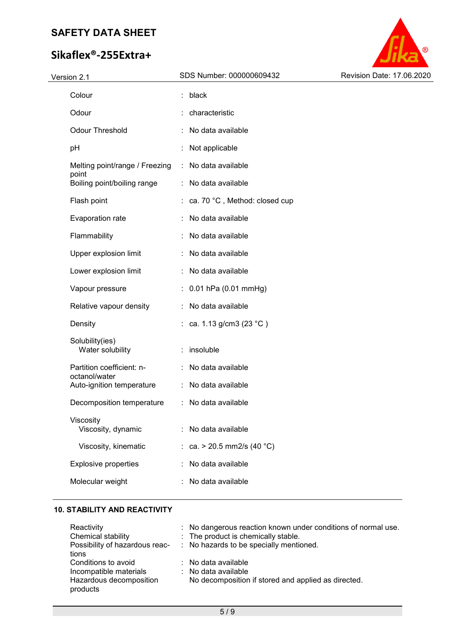# **Sikaflex®-255Extra+**



| Colour                                     |   | black                         |
|--------------------------------------------|---|-------------------------------|
| Odour                                      |   | characteristic                |
| <b>Odour Threshold</b>                     |   | No data available             |
| pH                                         |   | Not applicable                |
| Melting point/range / Freezing             |   | : No data available           |
| point<br>Boiling point/boiling range       |   | : No data available           |
| Flash point                                | t | ca. 70 °C, Method: closed cup |
| Evaporation rate                           |   | No data available             |
| Flammability                               |   | No data available             |
| Upper explosion limit                      |   | No data available             |
| Lower explosion limit                      |   | No data available             |
| Vapour pressure                            |   | $: 0.01$ hPa (0.01 mmHg)      |
| Relative vapour density                    |   | No data available             |
| Density                                    |   | : ca. 1.13 g/cm3 (23 °C)      |
| Solubility(ies)<br>Water solubility        |   | insoluble                     |
| Partition coefficient: n-<br>octanol/water |   | No data available             |
| Auto-ignition temperature                  |   | : No data available           |
| Decomposition temperature                  |   | : No data available           |
| Viscosity<br>Viscosity, dynamic            |   | No data available             |
| Viscosity, kinematic                       |   | : ca. > 20.5 mm2/s (40 °C)    |
| <b>Explosive properties</b>                |   | No data available             |
| Molecular weight                           |   | No data available             |
|                                            |   |                               |

### **10. STABILITY AND REACTIVITY**

| Reactivity                          | : No dangerous reaction known under conditions of normal use. |
|-------------------------------------|---------------------------------------------------------------|
| Chemical stability                  | : The product is chemically stable.                           |
| Possibility of hazardous reac-      | : No hazards to be specially mentioned.                       |
| tions                               |                                                               |
| Conditions to avoid                 | $\therefore$ No data available                                |
| Incompatible materials              | : No data available                                           |
| Hazardous decomposition<br>products | No decomposition if stored and applied as directed.           |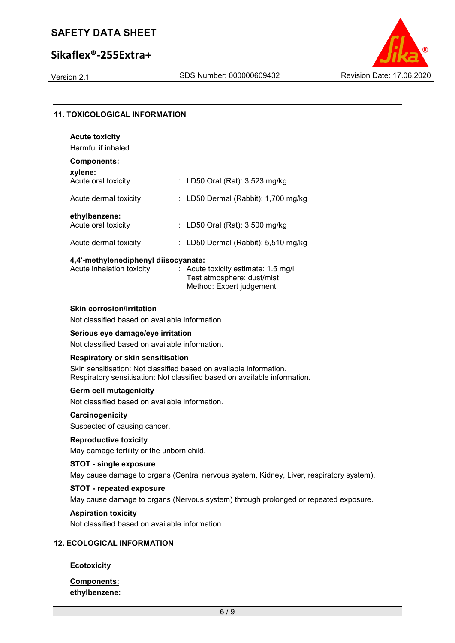## **Sikaflex®-255Extra+**



### **11. TOXICOLOGICAL INFORMATION**

| <b>Acute toxicity</b>                |                                       |
|--------------------------------------|---------------------------------------|
| Harmful if inhaled.                  |                                       |
| Components:<br>xylene:               |                                       |
| Acute oral toxicity                  | : LD50 Oral (Rat): $3,523$ mg/kg      |
| Acute dermal toxicity                | : LD50 Dermal (Rabbit): $1,700$ mg/kg |
| ethylbenzene:<br>Acute oral toxicity | : LD50 Oral (Rat): 3,500 mg/kg        |
| Acute dermal toxicity                | LD50 Dermal (Rabbit): 5,510 mg/kg     |

#### **4,4'-methylenediphenyl diisocyanate:**

| Acute inhalation toxicity | $\therefore$ Acute toxicity estimate: 1.5 mg/l |
|---------------------------|------------------------------------------------|
|                           | Test atmosphere: dust/mist                     |
|                           | Method: Expert judgement                       |

#### **Skin corrosion/irritation**

Not classified based on available information.

### **Serious eye damage/eye irritation**

Not classified based on available information.

#### **Respiratory or skin sensitisation**

Skin sensitisation: Not classified based on available information. Respiratory sensitisation: Not classified based on available information.

#### **Germ cell mutagenicity**

Not classified based on available information.

#### **Carcinogenicity**

Suspected of causing cancer.

### **Reproductive toxicity**

May damage fertility or the unborn child.

#### **STOT - single exposure**

May cause damage to organs (Central nervous system, Kidney, Liver, respiratory system).

### **STOT - repeated exposure**

May cause damage to organs (Nervous system) through prolonged or repeated exposure.

#### **Aspiration toxicity**

Not classified based on available information.

### **12. ECOLOGICAL INFORMATION**

#### **Ecotoxicity**

### **Components: ethylbenzene:**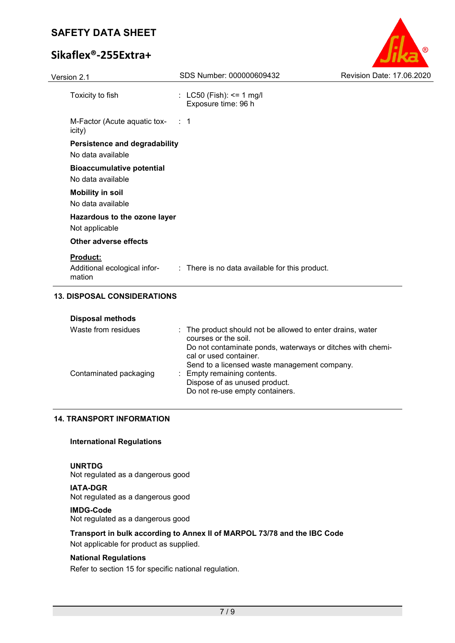# **Sikaflex®-255Extra+**

| Version 2.1                                               | SDS Number: 000000609432                        | Revision Date: 17.06.2020 |
|-----------------------------------------------------------|-------------------------------------------------|---------------------------|
| Toxicity to fish                                          | : LC50 (Fish): <= 1 mg/l<br>Exposure time: 96 h |                           |
| M-Factor (Acute aquatic tox- : 1<br>icity)                |                                                 |                           |
| <b>Persistence and degradability</b><br>No data available |                                                 |                           |
| <b>Bioaccumulative potential</b><br>No data available     |                                                 |                           |
| <b>Mobility in soil</b><br>No data available              |                                                 |                           |
| Hazardous to the ozone layer<br>Not applicable            |                                                 |                           |
| Other adverse effects                                     |                                                 |                           |
| <u>Product:</u><br>Additional ecological infor-<br>mation | : There is no data available for this product.  |                           |

 $\circledR$ 

### **13. DISPOSAL CONSIDERATIONS**

| <b>Disposal methods</b> |                                                                                                                                      |
|-------------------------|--------------------------------------------------------------------------------------------------------------------------------------|
| Waste from residues     | : The product should not be allowed to enter drains, water<br>courses or the soil.                                                   |
|                         | Do not contaminate ponds, waterways or ditches with chemi-<br>cal or used container.<br>Send to a licensed waste management company. |
| Contaminated packaging  | : Empty remaining contents.                                                                                                          |
|                         | Dispose of as unused product.                                                                                                        |
|                         | Do not re-use empty containers.                                                                                                      |
|                         |                                                                                                                                      |

### **14. TRANSPORT INFORMATION**

#### **International Regulations**

### **UNRTDG**

Not regulated as a dangerous good

**IATA-DGR** Not regulated as a dangerous good

#### **IMDG-Code**

Not regulated as a dangerous good

### **Transport in bulk according to Annex II of MARPOL 73/78 and the IBC Code**

Not applicable for product as supplied.

### **National Regulations**

Refer to section 15 for specific national regulation.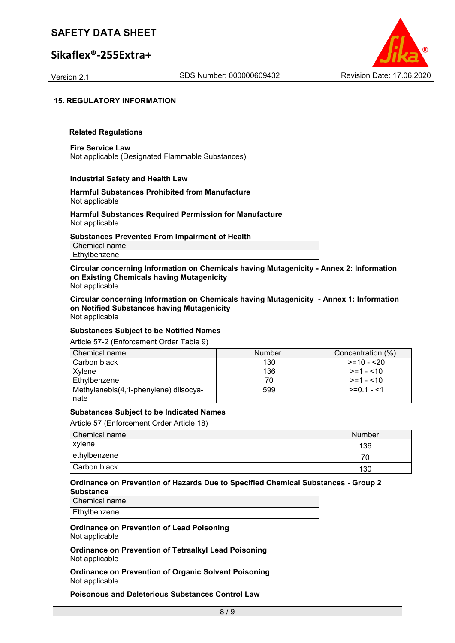### **Sikaflex®-255Extra+**



#### **15. REGULATORY INFORMATION**

#### **Related Regulations**

**Fire Service Law** Not applicable (Designated Flammable Substances)

#### **Industrial Safety and Health Law**

#### **Harmful Substances Prohibited from Manufacture** Not applicable

#### **Harmful Substances Required Permission for Manufacture** Not applicable

#### **Substances Prevented From Impairment of Health**

Chemical name Ethylbenzene

**Circular concerning Information on Chemicals having Mutagenicity - Annex 2: Information on Existing Chemicals having Mutagenicity** Not applicable

**Circular concerning Information on Chemicals having Mutagenicity - Annex 1: Information on Notified Substances having Mutagenicity** Not applicable

#### **Substances Subject to be Notified Names**

Article 57-2 (Enforcement Order Table 9)

| Chemical name                         | <b>Number</b> | Concentration (%) |
|---------------------------------------|---------------|-------------------|
| Carbon black                          | 130           | $>=10 - 20$       |
| Xvlene                                | 136           | $>=1 - 10$        |
| Ethylbenzene                          |               | $>=1 - 10$        |
| Methylenebis(4,1-phenylene) diisocya- | 599           | $>=0.1 - 1$       |
| nate                                  |               |                   |

#### **Substances Subject to be Indicated Names**

Article 57 (Enforcement Order Article 18)

| Chemical name | Number |
|---------------|--------|
| xylene        | 136    |
| ethylbenzene  |        |
| Carbon black  | 130    |

#### **Ordinance on Prevention of Hazards Due to Specified Chemical Substances - Group 2 Substance**

Chemical name Ethylbenzene

**Ordinance on Prevention of Lead Poisoning** Not applicable

**Ordinance on Prevention of Tetraalkyl Lead Poisoning** Not applicable

**Ordinance on Prevention of Organic Solvent Poisoning** Not applicable

**Poisonous and Deleterious Substances Control Law**